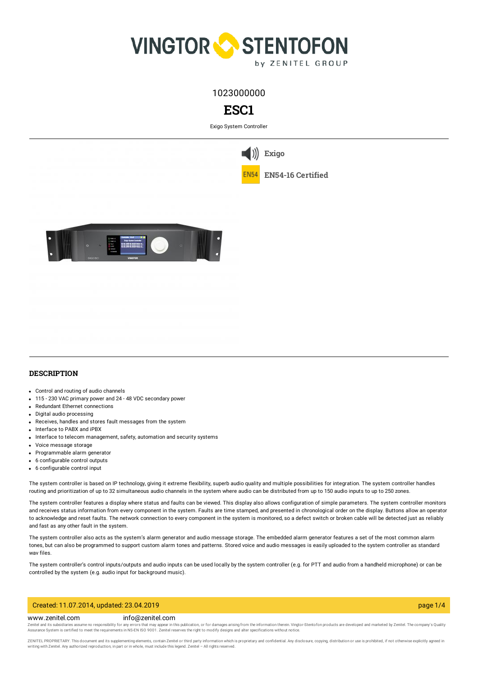

1023000000



Exigo System Controller

**[Exigo](https://www.zenitel.com/technology/exigo)**

**EN54-16 [Certified](https://www.zenitel.com/technology/compatibility/en54-16-certified)**



# **DESCRIPTION**

- Control and routing of audio channels
- 115 230 VAC primary power and 24 48 VDC secondary power
- Redundant Ethernet connections
- Digital audio processing
- Receives, handles and stores fault messages from the system
- **Interface to PABX and iPBX**
- Interface to telecom management, safety, automation and security systems
- Voice message storage
- Programmable alarm generator
- 6 configurable control outputs
- 6 configurable control input

The system controller is based on IP technology, giving it extreme flexibility, superb audio quality and multiple possibilities for integration. The system controller handles routing and prioritization of up to 32 simultaneous audio channels in the system where audio can be distributed from up to 150 audio inputs to up to 250 zones.

The system controller features a display where status and faults can be viewed. This display also allows configuration of simple parameters. The system controller monitors and receives status information from every component in the system. Faults are time stamped, and presented in chronological order on the display. Buttons allow an operator to acknowledge and reset faults. The network connection to every component in the system is monitored, so a defect switch or broken cable will be detected just as reliably and fast as any other fault in the system.

The system controller also acts as the system's alarm generator and audio message storage. The embedded alarm generator features a set of the most common alarm tones, but can also be programmed to support custom alarm tones and patterns. Stored voice and audio messages is easily uploaded to the system controller as standard wav files.

The system controller's control inputs/outputs and audio inputs can be used locally by the system controller (e.g. for PTT and audio from a handheld microphone) or can be controlled by the system (e.g. audio input for background music).

## Created: 11.07.2014, updated: 23.04.2019 page 1/4

#### www.zenitel.com info@zenitel.com

Zenitel and its subsidiaries assume no responsibility for any errors that may appear in this publication, or for damages arising from the information therein. Vingtor-Stentofon products are developed and marketed by Zenite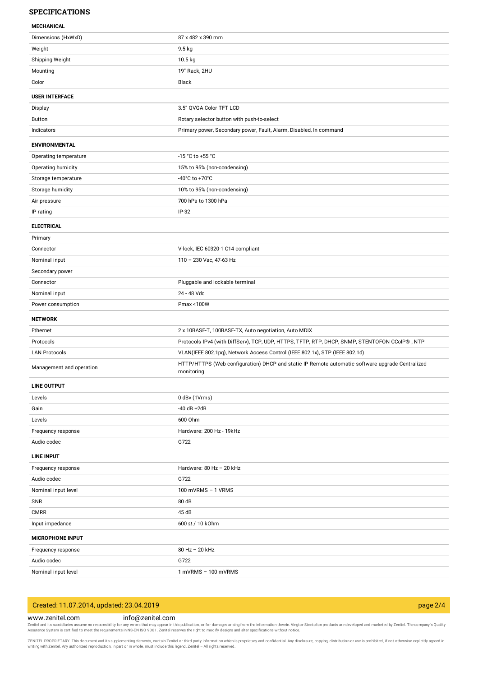#### **SPECIFICATIONS**

#### **MECHANICAL**

| <u>IVILVI IMITUML</u>    |                                                                                                               |
|--------------------------|---------------------------------------------------------------------------------------------------------------|
| Dimensions (HxWxD)       | 87 x 482 x 390 mm                                                                                             |
| Weight                   | 9.5 kg                                                                                                        |
| Shipping Weight          | 10.5 kg                                                                                                       |
| Mounting                 | 19" Rack, 2HU                                                                                                 |
| Color                    | Black                                                                                                         |
| <b>USER INTERFACE</b>    |                                                                                                               |
| Display                  | 3.5" QVGA Color TFT LCD                                                                                       |
| Button                   | Rotary selector button with push-to-select                                                                    |
| Indicators               | Primary power, Secondary power, Fault, Alarm, Disabled, In command                                            |
| <b>ENVIRONMENTAL</b>     |                                                                                                               |
| Operating temperature    | -15 °C to +55 °C                                                                                              |
| Operating humidity       | 15% to 95% (non-condensing)                                                                                   |
| Storage temperature      | -40°C to +70°C                                                                                                |
| Storage humidity         | 10% to 95% (non-condensing)                                                                                   |
| Air pressure             | 700 hPa to 1300 hPa                                                                                           |
| IP rating                | $IP-32$                                                                                                       |
| <b>ELECTRICAL</b>        |                                                                                                               |
| Primary                  |                                                                                                               |
| Connector                | V-lock, IEC 60320-1 C14 compliant                                                                             |
| Nominal input            | 110 - 230 Vac, 47-63 Hz                                                                                       |
| Secondary power          |                                                                                                               |
| Connector                | Pluggable and lockable terminal                                                                               |
| Nominal input            | 24 - 48 Vdc                                                                                                   |
|                          |                                                                                                               |
| Power consumption        | Pmax <100W                                                                                                    |
| <b>NETWORK</b>           |                                                                                                               |
| Ethernet                 | 2 x 10BASE-T, 100BASE-TX, Auto negotiation, Auto MDIX                                                         |
| Protocols                | Protocols IPv4 (with DiffServ), TCP, UDP, HTTPS, TFTP, RTP, DHCP, SNMP, STENTOFON CCoIP®, NTP                 |
| <b>LAN Protocols</b>     | VLAN(IEEE 802.1pq), Network Access Control (IEEE 802.1x), STP (IEEE 802.1d)                                   |
| Management and operation | HTTP/HTTPS (Web configuration) DHCP and static IP Remote automatic software upgrade Centralized<br>monitoring |
| <b>LINE OUTPUT</b>       |                                                                                                               |
| Levels                   | 0 dBv (1Vrms)                                                                                                 |
| Gain                     | $-40$ dB $+2$ dB                                                                                              |
| Levels                   | 600 Ohm                                                                                                       |
| Frequency response       | Hardware: 200 Hz - 19kHz                                                                                      |
| Audio codec              | G722                                                                                                          |
| <b>LINE INPUT</b>        |                                                                                                               |
| Frequency response       | Hardware: 80 Hz - 20 kHz                                                                                      |
| Audio codec              | G722                                                                                                          |
| Nominal input level      | 100 mVRMS - 1 VRMS                                                                                            |
| SNR                      | 80 dB                                                                                                         |
| <b>CMRR</b>              | 45 dB                                                                                                         |
| Input impedance          | $600 \Omega / 10$ kOhm                                                                                        |
| <b>MICROPHONE INPUT</b>  |                                                                                                               |
| Frequency response       | 80 Hz - 20 kHz                                                                                                |
| Audio codec              | G722                                                                                                          |

# Created: 11.07.2014, updated: 23.04.2019 page 2/4

### www.zenitel.com info@zenitel.com

Zenitel and its subsidiaries assume no responsibility for any errors that may appear in this publication, or for damages arising from the information therein. Vingtor-Stentofon products are developed and marketed by Zenite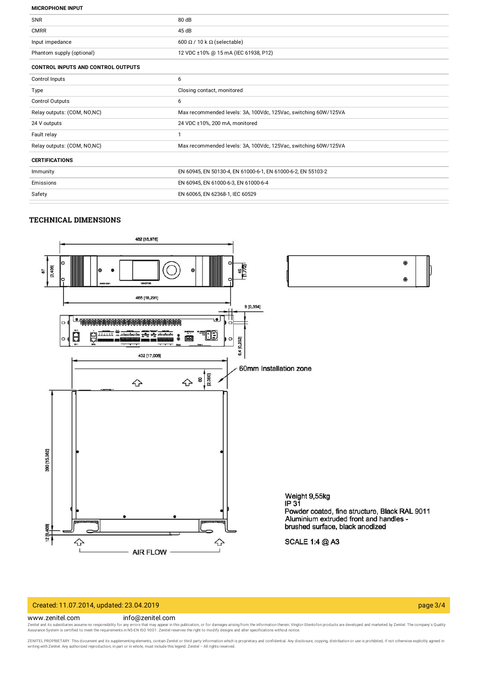#### **MICROPHONE INPUT**

| <b>SNR</b>                                | 80 dB                                                           |
|-------------------------------------------|-----------------------------------------------------------------|
| <b>CMRR</b>                               | 45 dB                                                           |
| Input impedance                           | 600 $\Omega$ / 10 k $\Omega$ (selectable)                       |
| Phantom supply (optional)                 | 12 VDC ±10% @ 15 mA (IEC 61938, P12)                            |
| <b>CONTROL INPUTS AND CONTROL OUTPUTS</b> |                                                                 |
| Control Inputs                            | 6                                                               |
| Type                                      | Closing contact, monitored                                      |
| Control Outputs                           | 6                                                               |
| Relay outputs: (COM, NO,NC)               | Max recommended levels: 3A, 100Vdc, 125Vac, switching 60W/125VA |
| 24 V outputs                              | 24 VDC ±10%, 200 mA, monitored                                  |
| Fault relay                               | -1                                                              |
| Relay outputs: (COM, NO,NC)               | Max recommended levels: 3A, 100Vdc, 125Vac, switching 60W/125VA |
| <b>CERTIFICATIONS</b>                     |                                                                 |
| Immunity                                  | EN 60945, EN 50130-4, EN 61000-6-1, EN 61000-6-2, EN 55103-2    |
| Emissions                                 | EN 60945, EN 61000-6-3, EN 61000-6-4                            |
| Safety                                    | EN 60065, EN 62368-1, IEC 60529                                 |
|                                           |                                                                 |

### **TECHNICAL DIMENSIONS**



# Created: 11.07.2014, updated: 23.04.2019 page 3/4

#### www.zenitel.com info@zenitel.com

Zenitel and its subsidiaries assume no responsibility for any errors that may appear in this publication, or for damages arising from the information therein. Vingtor-Stentofon products are developed and marketed by Zenite